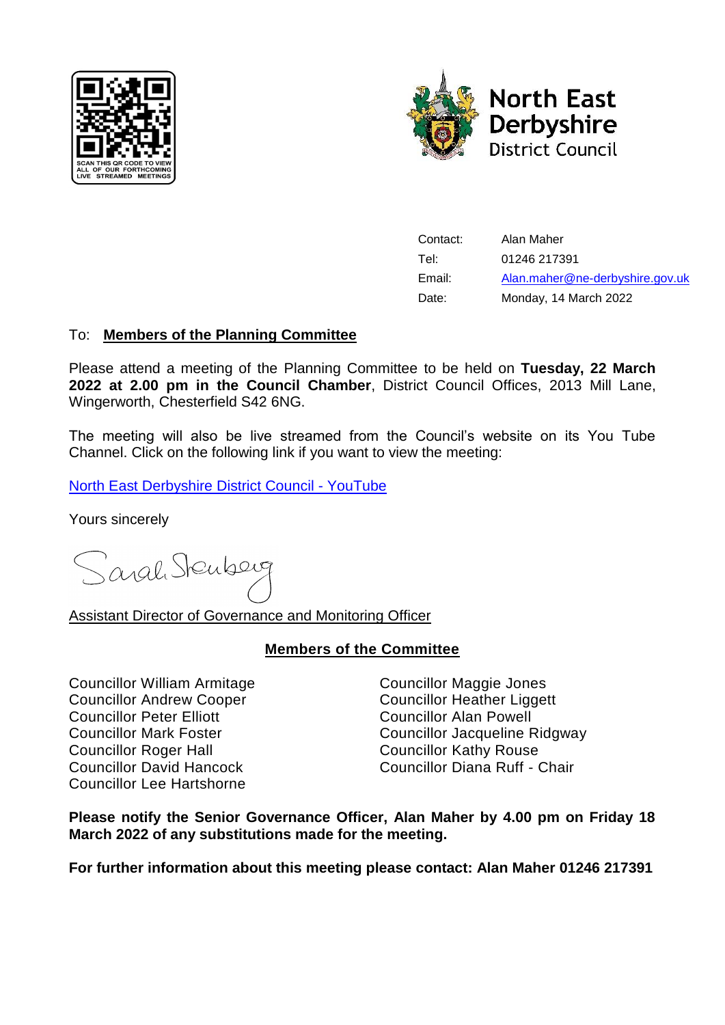



Contact: Alan Maher Tel: 01246 217391 Email: [Alan.maher@ne-derbyshire.gov.uk](mailto:Alan.maher@ne-derbyshire.gov.uk) Date: Monday, 14 March 2022

# To: **Members of the Planning Committee**

Please attend a meeting of the Planning Committee to be held on **Tuesday, 22 March 2022 at 2.00 pm in the Council Chamber**, District Council Offices, 2013 Mill Lane, Wingerworth, Chesterfield S42 6NG.

The meeting will also be live streamed from the Council's website on its You Tube Channel. Click on the following link if you want to view the meeting:

[North East Derbyshire District Council -](https://www.youtube.com/channel/UCAtAqurAPSDhWR0zf_M6XGg?view_as=subscriber) YouTube

Yours sincerely

Sarah Stenberg

Assistant Director of Governance and Monitoring Officer

### **Members of the Committee**

Councillor William Armitage Councillor Maggie Jones Councillor Andrew Cooper Councillor Heather Liggett Councillor Peter Elliott Councillor Alan Powell Councillor Roger Hall Councillor Kathy Rouse Councillor Lee Hartshorne

Councillor Mark Foster Councillor Jacqueline Ridgway Councillor David Hancock Councillor Diana Ruff - Chair

**Please notify the Senior Governance Officer, Alan Maher by 4.00 pm on Friday 18 March 2022 of any substitutions made for the meeting.**

**For further information about this meeting please contact: Alan Maher 01246 217391**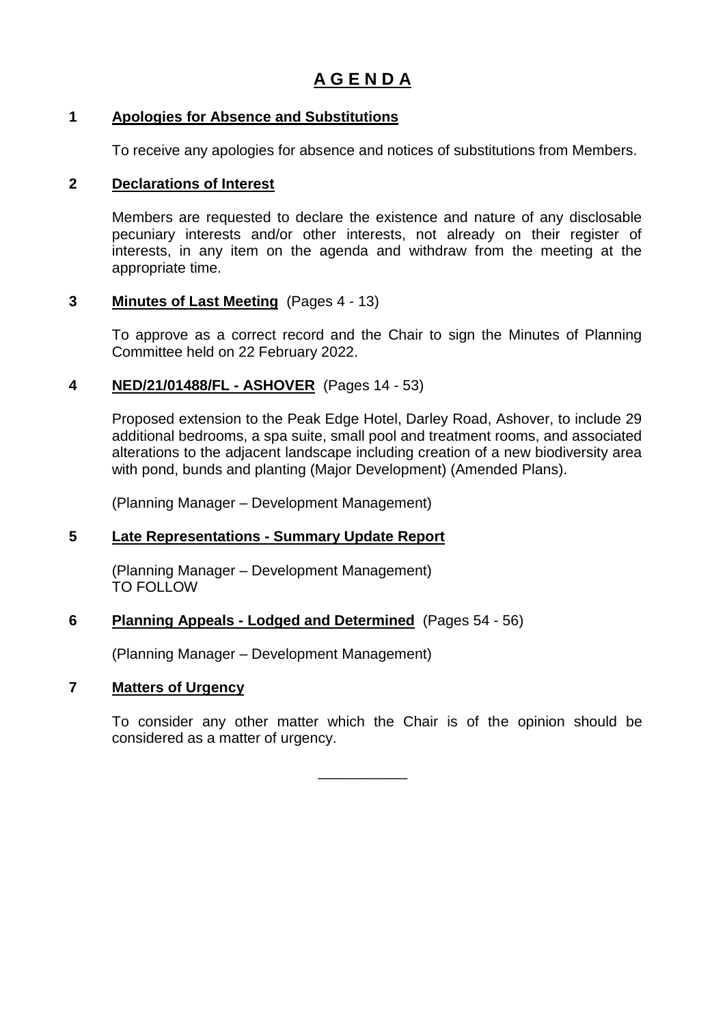### **1 Apologies for Absence and Substitutions**

To receive any apologies for absence and notices of substitutions from Members.

### **2 Declarations of Interest**

Members are requested to declare the existence and nature of any disclosable pecuniary interests and/or other interests, not already on their register of interests, in any item on the agenda and withdraw from the meeting at the appropriate time.

### **3 Minutes of Last Meeting** (Pages 4 - 13)

To approve as a correct record and the Chair to sign the Minutes of Planning Committee held on 22 February 2022.

# **4 NED/21/01488/FL - ASHOVER** (Pages 14 - 53)

Proposed extension to the Peak Edge Hotel, Darley Road, Ashover, to include 29 additional bedrooms, a spa suite, small pool and treatment rooms, and associated alterations to the adjacent landscape including creation of a new biodiversity area with pond, bunds and planting (Major Development) (Amended Plans).

(Planning Manager – Development Management)

# **5 Late Representations - Summary Update Report**

(Planning Manager – Development Management) TO FOLLOW

### **6 Planning Appeals - Lodged and Determined** (Pages 54 - 56)

(Planning Manager – Development Management)

# **7 Matters of Urgency**

To consider any other matter which the Chair is of the opinion should be considered as a matter of urgency.

\_\_\_\_\_\_\_\_\_\_\_